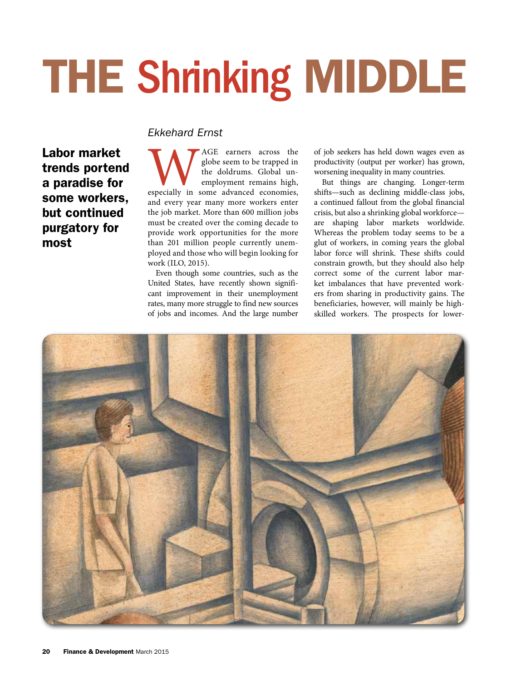# THE Shrinking MIDDLE

# *Ekkehard Ernst*

Labor market trends portend a paradise for some workers, but continued purgatory for most

MUS AGE earners across the globe seem to be trapped in the doldrums. Global un-<br>
employment remains high, especially in some advanced economies, globe seem to be trapped in the doldrums. Global unemployment remains high, and every year many more workers enter the job market. More than 600 million jobs must be created over the coming decade to provide work opportunities for the more than 201 million people currently unemployed and those who will begin looking for work (ILO, 2015).

Even though some countries, such as the United States, have recently shown significant improvement in their unemployment rates, many more struggle to find new sources of jobs and incomes. And the large number of job seekers has held down wages even as productivity (output per worker) has grown, worsening inequality in many countries.

But things are changing. Longer-term shifts—such as declining middle-class jobs, a continued fallout from the global financial crisis, but also a shrinking global workforce are shaping labor markets worldwide. Whereas the problem today seems to be a glut of workers, in coming years the global labor force will shrink. These shifts could constrain growth, but they should also help correct some of the current labor market imbalances that have prevented workers from sharing in productivity gains. The beneficiaries, however, will mainly be highskilled workers. The prospects for lower-

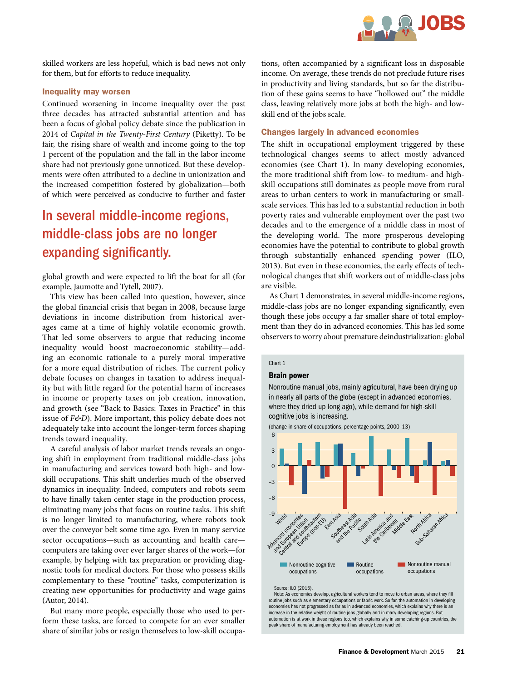

skilled workers are less hopeful, which is bad news not only for them, but for efforts to reduce inequality.

# Inequality may worsen

Continued worsening in income inequality over the past three decades has attracted substantial attention and has been a focus of global policy debate since the publication in 2014 of *Capital in the Twenty-First Century* (Piketty). To be fair, the rising share of wealth and income going to the top 1 percent of the population and the fall in the labor income share had not previously gone unnoticed. But these developments were often attributed to a decline in unionization and the increased competition fostered by globalization—both of which were perceived as conducive to further and faster

# In several middle-income regions, middle-class jobs are no longer expanding significantly.

global growth and were expected to lift the boat for all (for example, Jaumotte and Tytell, 2007).

This view has been called into question, however, since the global financial crisis that began in 2008, because large deviations in income distribution from historical averages came at a time of highly volatile economic growth. That led some observers to argue that reducing income inequality would boost macroeconomic stability—adding an economic rationale to a purely moral imperative for a more equal distribution of riches. The current policy debate focuses on changes in taxation to address inequality but with little regard for the potential harm of increases in income or property taxes on job creation, innovation, and growth (see "Back to Basics: Taxes in Practice" in this issue of *F&D*). More important, this policy debate does not adequately take into account the longer-term forces shaping trends toward inequality.

A careful analysis of labor market trends reveals an ongoing shift in employment from traditional middle-class jobs in manufacturing and services toward both high- and lowskill occupations. This shift underlies much of the observed dynamics in inequality. Indeed, computers and robots seem to have finally taken center stage in the production process, eliminating many jobs that focus on routine tasks. This shift is no longer limited to manufacturing, where robots took over the conveyor belt some time ago. Even in many service sector occupations—such as accounting and health care computers are taking over ever larger shares of the work—for example, by helping with tax preparation or providing diagnostic tools for medical doctors. For those who possess skills complementary to these "routine" tasks, computerization is creating new opportunities for productivity and wage gains (Autor, 2014).

But many more people, especially those who used to perform these tasks, are forced to compete for an ever smaller share of similar jobs or resign themselves to low-skill occupations, often accompanied by a significant loss in disposable income. On average, these trends do not preclude future rises in productivity and living standards, but so far the distribution of these gains seems to have "hollowed out" the middle class, leaving relatively more jobs at both the high- and lowskill end of the jobs scale.

# Changes largely in advanced economies

The shift in occupational employment triggered by these technological changes seems to affect mostly advanced economies (see Chart 1). In many developing economies, the more traditional shift from low- to medium- and highskill occupations still dominates as people move from rural areas to urban centers to work in manufacturing or smallscale services. This has led to a substantial reduction in both poverty rates and vulnerable employment over the past two decades and to the emergence of a middle class in most of the developing world. The more prosperous developing economies have the potential to contribute to global growth through substantially enhanced spending power (ILO, 2013). But even in these economies, the early effects of technological changes that shift workers out of middle-class jobs are visible.

As Chart 1 demonstrates, in several middle-income regions, middle-class jobs are no longer expanding significantly, even though these jobs occupy a far smaller share of total employment than they do in advanced economies. This has led some observers to worry about premature deindustrialization: global

# Chart 1

### Brain power

Nonroutine manual jobs, mainly agricultural, have been drying up in nearly all parts of the globe (except in advanced economies, where they dried up long ago), while demand for high-skill cognitive jobs is increasing.

<sup>(</sup>change in share of occupations, percentage points, 2000–13)



Source: ILO (2015).

Note: As economies develop, agricultural workers tend to move to urban areas, where they fill routine jobs such as elementary occupations or fabric work. So far, the automation in developing economies has not progressed as far as in advanced economies, which explains why there is an increase in the relative weight of routine jobs globally and in many developing regions. But automation is at work in these regions too, which explains why in some catching-up countries, the peak share of manufacturing employment has already been reached.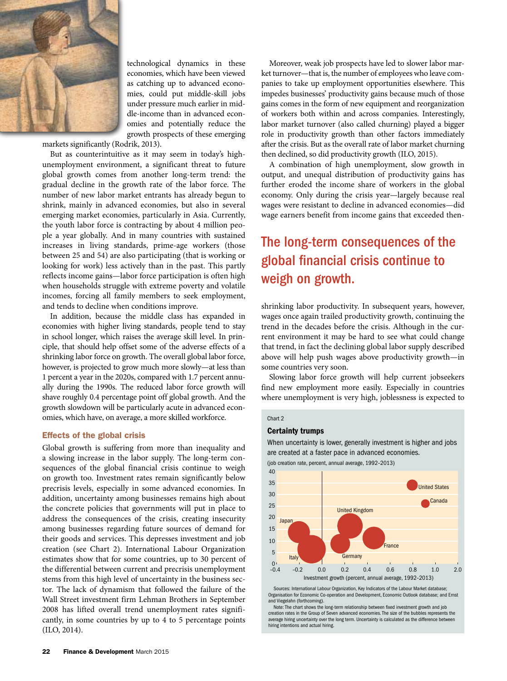

technological dynamics in these economies, which have been viewed as catching up to advanced economies, could put middle-skill jobs under pressure much earlier in middle-income than in advanced economies and potentially reduce the growth prospects of these emerging

markets significantly (Rodrik, 2013).

But as counterintuitive as it may seem in today's highunemployment environment, a significant threat to future global growth comes from another long-term trend: the gradual decline in the growth rate of the labor force. The number of new labor market entrants has already begun to shrink, mainly in advanced economies, but also in several emerging market economies, particularly in Asia. Currently, the youth labor force is contracting by about 4 million people a year globally. And in many countries with sustained increases in living standards, prime-age workers (those between 25 and 54) are also participating (that is working or looking for work) less actively than in the past. This partly reflects income gains—labor force participation is often high when households struggle with extreme poverty and volatile incomes, forcing all family members to seek employment, and tends to decline when conditions improve.

In addition, because the middle class has expanded in economies with higher living standards, people tend to stay in school longer, which raises the average skill level. In principle, that should help offset some of the adverse effects of a shrinking labor force on growth. The overall global labor force, however, is projected to grow much more slowly—at less than 1 percent a year in the 2020s, compared with 1.7 percent annually during the 1990s. The reduced labor force growth will shave roughly 0.4 percentage point off global growth. And the growth slowdown will be particularly acute in advanced economies, which have, on average, a more skilled workforce.

# Effects of the global crisis

Global growth is suffering from more than inequality and a slowing increase in the labor supply. The long-term consequences of the global financial crisis continue to weigh on growth too. Investment rates remain significantly below precrisis levels, especially in some advanced economies. In addition, uncertainty among businesses remains high about the concrete policies that governments will put in place to address the consequences of the crisis, creating insecurity among businesses regarding future sources of demand for their goods and services. This depresses investment and job creation (see Chart 2). International Labour Organization estimates show that for some countries, up to 30 percent of the differential between current and precrisis unemployment stems from this high level of uncertainty in the business sector. The lack of dynamism that followed the failure of the Wall Street investment firm Lehman Brothers in September 2008 has lifted overall trend unemployment rates significantly, in some countries by up to 4 to 5 percentage points (ILO, 2014).

Moreover, weak job prospects have led to slower labor market turnover—that is, the number of employees who leave companies to take up employment opportunities elsewhere. This impedes businesses' productivity gains because much of those gains comes in the form of new equipment and reorganization of workers both within and across companies. Interestingly, labor market turnover (also called churning) played a bigger role in productivity growth than other factors immediately after the crisis. But as the overall rate of labor market churning then declined, so did productivity growth (ILO, 2015).

A combination of high unemployment, slow growth in output, and unequal distribution of productivity gains has further eroded the income share of workers in the global economy. Only during the crisis year—largely because real wages were resistant to decline in advanced economies—did wage earners benefit from income gains that exceeded then-

# The long-term consequences of the global financial crisis continue to weigh on growth.

shrinking labor productivity. In subsequent years, however, wages once again trailed productivity growth, continuing the trend in the decades before the crisis. Although in the current environment it may be hard to see what could change that trend, in fact the declining global labor supply described above will help push wages above productivity growth—in some countries very soon.

Slowing labor force growth will help current jobseekers find new employment more easily. Especially in countries where unemployment is very high, joblessness is expected to

### Chart 2

## Certainty trumps

When uncertainty is lower, generally investment is higher and jobs are created at a faster pace in advanced economies.



Sources: International Labour Organization, Key Indicators of the Labour Market database; Organisation for Economic Co-operation and Development, Economic Outlook database; and Ernst and Viegelahn (forthcoming).

Note: The chart shows the long-term relationship between fixed investment growth and job creation rates in the Group of Seven advanced economies. The size of the bubbles represents the average hiring uncertainty over the long term. Uncertainty is calculated as the difference between hiring intentions and actual hiring.